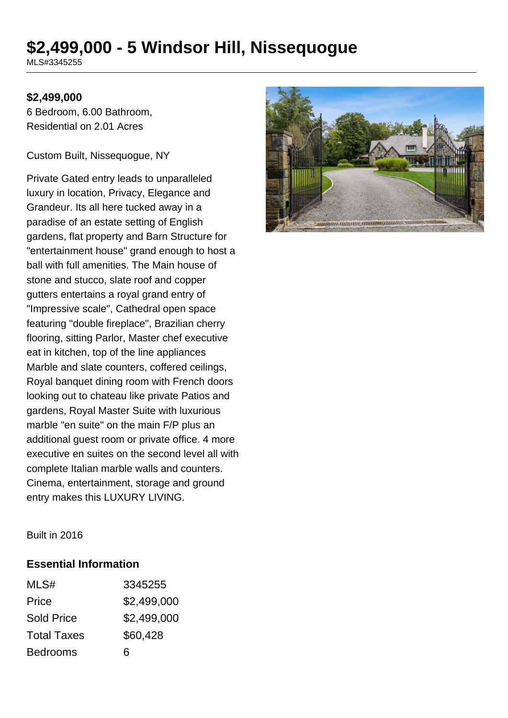# **\$2,499,000 - 5 Windsor Hill, Nissequogue**

MLS#3345255

#### **\$2,499,000**

6 Bedroom, 6.00 Bathroom, Residential on 2.01 Acres

Custom Built, Nissequogue, NY

Private Gated entry leads to unparalleled luxury in location, Privacy, Elegance and Grandeur. Its all here tucked away in a paradise of an estate setting of English gardens, flat property and Barn Structure for "entertainment house" grand enough to host a ball with full amenities. The Main house of stone and stucco, slate roof and copper gutters entertains a royal grand entry of "Impressive scale", Cathedral open space featuring "double fireplace", Brazilian cherry flooring, sitting Parlor, Master chef executive eat in kitchen, top of the line appliances Marble and slate counters, coffered ceilings, Royal banquet dining room with French doors looking out to chateau like private Patios and gardens, Royal Master Suite with luxurious marble "en suite" on the main F/P plus an additional guest room or private office. 4 more executive en suites on the second level all with complete Italian marble walls and counters. Cinema, entertainment, storage and ground entry makes this LUXURY LIVING.



Built in 2016

#### **Essential Information**

| MLS#               | 3345255     |
|--------------------|-------------|
| Price              | \$2,499,000 |
| <b>Sold Price</b>  | \$2,499,000 |
| <b>Total Taxes</b> | \$60,428    |
| <b>Bedrooms</b>    | 6           |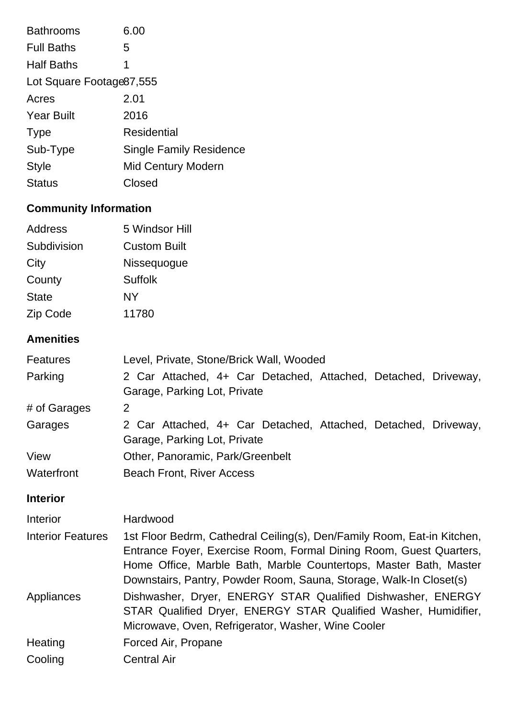| <b>Bathrooms</b>          | 6.00                           |  |
|---------------------------|--------------------------------|--|
| <b>Full Baths</b>         | 5                              |  |
| <b>Half Baths</b>         | 1                              |  |
| Lot Square Footage 87,555 |                                |  |
| Acres                     | 2.01                           |  |
| <b>Year Built</b>         | 2016                           |  |
| <b>Type</b>               | Residential                    |  |
| Sub-Type                  | <b>Single Family Residence</b> |  |
| <b>Style</b>              | <b>Mid Century Modern</b>      |  |
| <b>Status</b>             | Closed                         |  |

# **Community Information**

| Address      | 5 Windsor Hill      |
|--------------|---------------------|
| Subdivision  | <b>Custom Built</b> |
| City         | Nissequogue         |
| County       | Suffolk             |
| <b>State</b> | NY                  |
| Zip Code     | 11780               |

# **Amenities**

| <b>Features</b> | Level, Private, Stone/Brick Wall, Wooded                                                       |  |  |
|-----------------|------------------------------------------------------------------------------------------------|--|--|
| Parking         | 2 Car Attached, 4+ Car Detached, Attached, Detached, Driveway,<br>Garage, Parking Lot, Private |  |  |
| # of Garages    | 2                                                                                              |  |  |
| Garages         | 2 Car Attached, 4+ Car Detached, Attached, Detached, Driveway,<br>Garage, Parking Lot, Private |  |  |
| View            | Other, Panoramic, Park/Greenbelt                                                               |  |  |
| Waterfront      | <b>Beach Front, River Access</b>                                                               |  |  |

# **Interior**

| <b>Interior</b>          | Hardwood                                                                                                                                                                                                                                                                                 |
|--------------------------|------------------------------------------------------------------------------------------------------------------------------------------------------------------------------------------------------------------------------------------------------------------------------------------|
| <b>Interior Features</b> | 1st Floor Bedrm, Cathedral Ceiling(s), Den/Family Room, Eat-in Kitchen,<br>Entrance Foyer, Exercise Room, Formal Dining Room, Guest Quarters,<br>Home Office, Marble Bath, Marble Countertops, Master Bath, Master<br>Downstairs, Pantry, Powder Room, Sauna, Storage, Walk-In Closet(s) |
| Appliances               | Dishwasher, Dryer, ENERGY STAR Qualified Dishwasher, ENERGY<br>STAR Qualified Dryer, ENERGY STAR Qualified Washer, Humidifier,<br>Microwave, Oven, Refrigerator, Washer, Wine Cooler                                                                                                     |
| Heating                  | Forced Air, Propane                                                                                                                                                                                                                                                                      |
| Cooling                  | <b>Central Air</b>                                                                                                                                                                                                                                                                       |